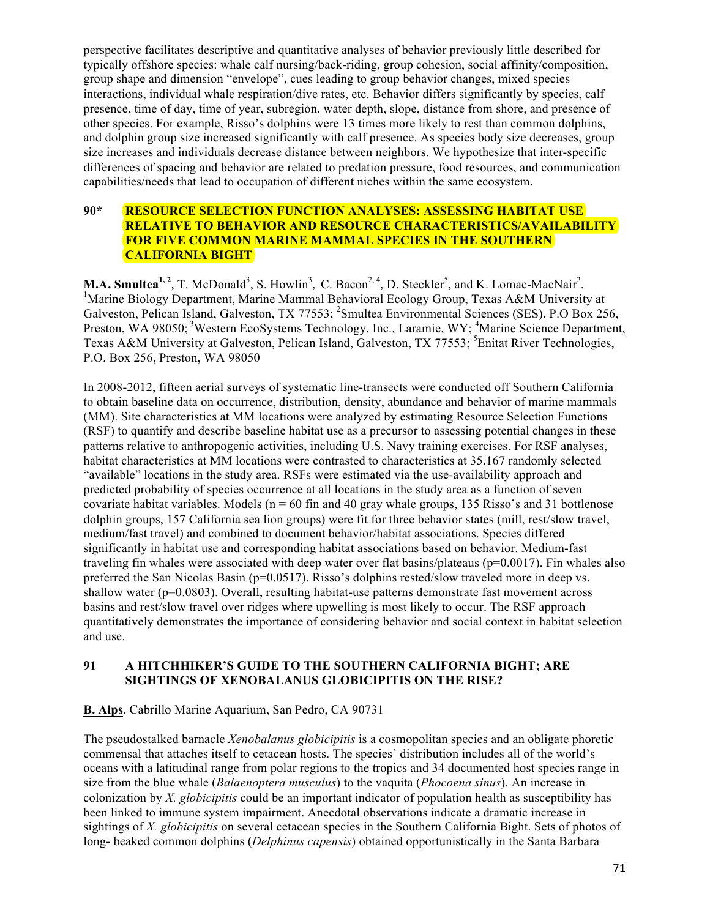perspective facilitates descriptive and quantitative analyses of behavior previously little described for typically offshore species: whale calf nursing/back-riding, group cohesion, social affinity/composition, group shape and dimension "envelope", cues leading to group behavior changes, mixed species interactions, individual whale respiration/dive rates, etc. Behavior differs significantly by species, calf presence, time of day, time of year, subregion, water depth, slope, distance from shore, and presence of other species. For example, Risso's dolphins were 13 times more likely to rest than common dolphins, and dolphin group size increased significantly with calf presence. As species body size decreases, group size increases and individuals decrease distance between neighbors. We hypothesize that inter-specific differences of spacing and behavior are related to predation pressure, food resources, and communication capabilities/needs that lead to occupation of different niches within the same ecosystem.

#### **90\* RESOURCE SELECTION FUNCTION ANALYSES: ASSESSING HABITAT USE RELATIVE TO BEHAVIOR AND RESOURCE CHARACTERISTICS/AVAILABILITY FOR FIVE COMMON MARINE MAMMAL SPECIES IN THE SOUTHERN CALIFORNIA BIGHT**

**M.A. Smultea<sup>1, 2</sup>**, T. McDonald<sup>3</sup>, S. Howlin<sup>3</sup>, C. Bacon<sup>2, 4</sup>, D. Steckler<sup>5</sup>, and K. Lomac-MacNair<sup>2</sup>. Marine Biology Department, Marine Mammal Behavioral Ecology Group, Texas A&M University at Galveston, Pelican Island, Galveston, TX 77553; <sup>2</sup>Smultea Environmental Sciences (SES), P.O Box 256, Preston, WA 98050;<sup>3</sup>Western EcoSystems Technology, Inc., Laramie, WY;<sup>4</sup>Marine Science Department, Texas A&M University at Galveston, Pelican Island, Galveston, TX 77553; <sup>5</sup>Enitat River Technologies, P.O. Box 256, Preston, WA 98050

In 2008-2012, fifteen aerial surveys of systematic line-transects were conducted off Southern California to obtain baseline data on occurrence, distribution, density, abundance and behavior of marine mammals (MM). Site characteristics at MM locations were analyzed by estimating Resource Selection Functions (RSF) to quantify and describe baseline habitat use as a precursor to assessing potential changes in these patterns relative to anthropogenic activities, including U.S. Navy training exercises. For RSF analyses, habitat characteristics at MM locations were contrasted to characteristics at 35,167 randomly selected "available" locations in the study area. RSFs were estimated via the use-availability approach and predicted probability of species occurrence at all locations in the study area as a function of seven covariate habitat variables. Models ( $n = 60$  fin and 40 gray whale groups, 135 Risso's and 31 bottlenose dolphin groups, 157 California sea lion groups) were fit for three behavior states (mill, rest/slow travel, medium/fast travel) and combined to document behavior/habitat associations. Species differed significantly in habitat use and corresponding habitat associations based on behavior. Medium-fast traveling fin whales were associated with deep water over flat basins/plateaus ( $p=0.0017$ ). Fin whales also preferred the San Nicolas Basin (p=0.0517). Risso's dolphins rested/slow traveled more in deep vs. shallow water (p=0.0803). Overall, resulting habitat-use patterns demonstrate fast movement across basins and rest/slow travel over ridges where upwelling is most likely to occur. The RSF approach quantitatively demonstrates the importance of considering behavior and social context in habitat selection and use.

### **91 A HITCHHIKER'S GUIDE TO THE SOUTHERN CALIFORNIA BIGHT; ARE SIGHTINGS OF XENOBALANUS GLOBICIPITIS ON THE RISE?**

#### **B. Alps**. Cabrillo Marine Aquarium, San Pedro, CA 90731

The pseudostalked barnacle *Xenobalanus globicipitis* is a cosmopolitan species and an obligate phoretic commensal that attaches itself to cetacean hosts. The species' distribution includes all of the world's oceans with a latitudinal range from polar regions to the tropics and 34 documented host species range in size from the blue whale (*Balaenoptera musculus*) to the vaquita (*Phocoena sinus*). An increase in colonization by *X. globicipitis* could be an important indicator of population health as susceptibility has been linked to immune system impairment. Anecdotal observations indicate a dramatic increase in sightings of *X. globicipitis* on several cetacean species in the Southern California Bight. Sets of photos of long- beaked common dolphins (*Delphinus capensis*) obtained opportunistically in the Santa Barbara